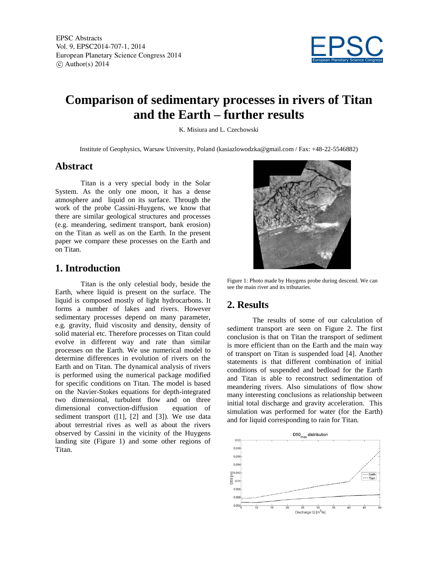

# **Comparison of sedimentary processes in rivers of Titan and the Earth – further results**

K. Misiura and L. Czechowski

Institute of Geophysics, Warsaw University, Poland (kasiazlowodzka@gmail.com / Fax: +48-22-5546882)

#### **Abstract**

Titan is a very special body in the Solar System. As the only one moon, it has a dense atmosphere and liquid on its surface. Through the work of the probe Cassini-Huygens, we know that there are similar geological structures and processes (e.g. meandering, sediment transport, bank erosion) on the Titan as well as on the Earth. In the present paper we compare these processes on the Earth and on Titan.

### **1. Introduction**

Titan is the only celestial body, beside the Earth, where liquid is present on the surface. The liquid is composed mostly of light hydrocarbons. It forms a number of lakes and rivers. However sedimentary processes depend on many parameter, e.g. gravity, fluid viscosity and density, density of solid material etc. Therefore processes on Titan could evolve in different way and rate than similar processes on the Earth. We use numerical model to determine differences in evolution of rivers on the Earth and on Titan. The dynamical analysis of rivers is performed using the numerical package modified for specific conditions on Titan. The model is based on the Navier-Stokes equations for depth-integrated two dimensional, turbulent flow and on three dimensional convection-diffusion equation of sediment transport  $([1], [2]$  and  $[3]$ ). We use data about terrestrial rives as well as about the rivers observed by Cassini in the vicinity of the Huygens landing site (Figure 1) and some other regions of Titan.



Figure 1: Photo made by Huygens probe during descend. We can see the main river and its tributaries.

### **2. Results**

The results of some of our calculation of sediment transport are seen on Figure 2. The first conclusion is that on Titan the transport of sediment is more efficient than on the Earth and the main way of transport on Titan is suspended load [4]. Another statements is that different combination of initial conditions of suspended and bedload for the Earth and Titan is able to reconstruct sedimentation of meandering rivers. Also simulations of flow show many interesting conclusions as relationship between initial total discharge and gravity acceleration. This simulation was performed for water (for the Earth) and for liquid corresponding to rain for Titan.